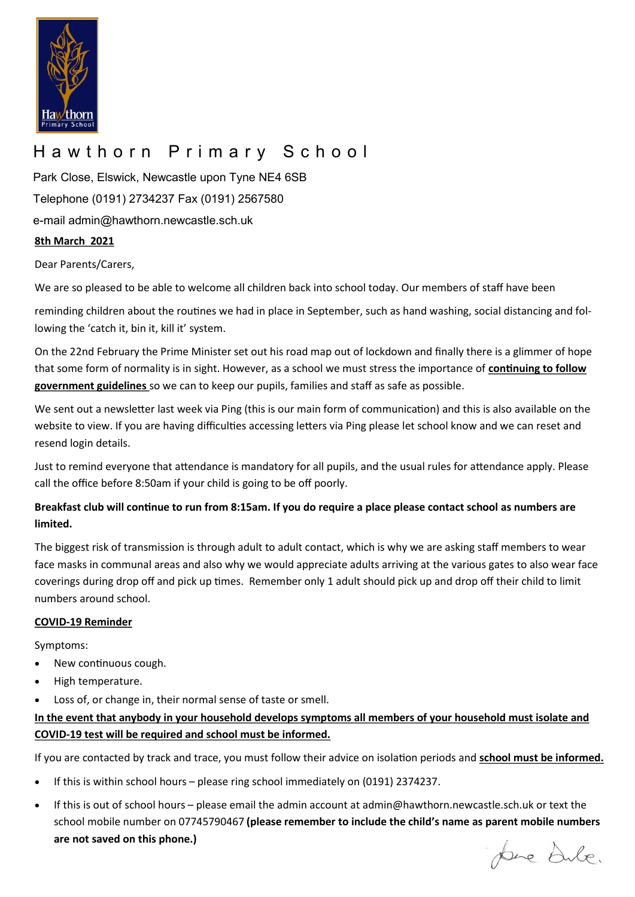

## Hawthorn Primary School

**8th March 2021** Park Close, Elswick, Newcastle upon Tyne NE4 6SB Telephone (0191) 2734237 Fax (0191) 2567580 e-mail admin@hawthorn.newcastle.sch.uk

Dear Parents/Carers,

We are so pleased to be able to welcome all children back into school today. Our members of staff have been

reminding children about the routines we had in place in September, such as hand washing, social distancing and following the 'catch it, bin it, kill it' system.

On the 22nd February the Prime Minister set out his road map out of lockdown and finally there is a glimmer of hope that some form of normality is in sight. However, as a school we must stress the importance of **continuing to follow government guidelines** so we can to keep our pupils, families and staff as safe as possible.

We sent out a newsletter last week via Ping (this is our main form of communication) and this is also available on the website to view. If you are having difficulties accessing letters via Ping please let school know and we can reset and resend login details.

Just to remind everyone that attendance is mandatory for all pupils, and the usual rules for attendance apply. Please call the office before 8:50am if your child is going to be off poorly.

#### **Breakfast club will continue to run from 8:15am. If you do require a place please contact school as numbers are limited.**

The biggest risk of transmission is through adult to adult contact, which is why we are asking staff members to wear face masks in communal areas and also why we would appreciate adults arriving at the various gates to also wear face coverings during drop off and pick up times. Remember only 1 adult should pick up and drop off their child to limit numbers around school.

#### **COVID-19 Reminder**

Symptoms:

- New continuous cough.
- High temperature.
- Loss of, or change in, their normal sense of taste or smell.

#### **In the event that anybody in your household develops symptoms all members of your household must isolate and COVID-19 test will be required and school must be informed.**

If you are contacted by track and trace, you must follow their advice on isolation periods and **school must be informed.** 

- If this is within school hours please ring school immediately on (0191) 2374237.
- If this is out of school hours please email the admin account at admin@hawthorn.newcastle.sch.uk or text the school mobile number on 07745790467 **(please remember to include the child's name as parent mobile numbers are not saved on this phone.)**

pace dule.